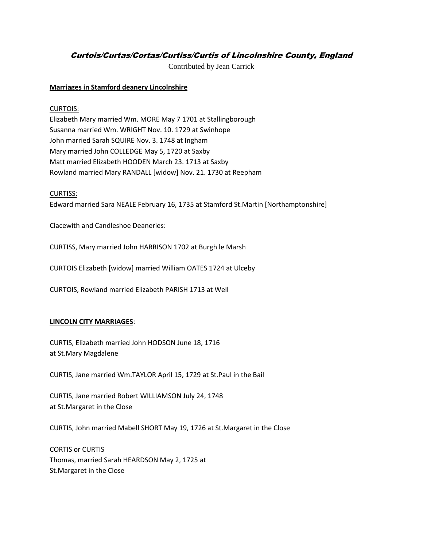# Curtois/Curtas/Cortas/Curtiss/Curtis of Lincolnshire County, England

Contributed by Jean Carrick

## **Marriages in Stamford deanery Lincolnshire**

## CURTOIS:

Elizabeth Mary married Wm. MORE May 7 1701 at Stallingborough Susanna married Wm. WRIGHT Nov. 10. 1729 at Swinhope John married Sarah SQUIRE Nov. 3. 1748 at Ingham Mary married John COLLEDGE May 5, 1720 at Saxby Matt married Elizabeth HOODEN March 23. 1713 at Saxby Rowland married Mary RANDALL [widow] Nov. 21. 1730 at Reepham

#### CURTISS:

Edward married Sara NEALE February 16, 1735 at Stamford St.Martin [Northamptonshire]

Clacewith and Candleshoe Deaneries:

CURTISS, Mary married John HARRISON 1702 at Burgh le Marsh

CURTOIS Elizabeth [widow] married William OATES 1724 at Ulceby

CURTOIS, Rowland married Elizabeth PARISH 1713 at Well

## **LINCOLN CITY MARRIAGES**:

CURTIS, Elizabeth married John HODSON June 18, 1716 at St.Mary Magdalene

CURTIS, Jane married Wm.TAYLOR April 15, 1729 at St.Paul in the Bail

CURTIS, Jane married Robert WILLIAMSON July 24, 1748 at St.Margaret in the Close

CURTIS, John married Mabell SHORT May 19, 1726 at St.Margaret in the Close

CORTIS or CURTIS Thomas, married Sarah HEARDSON May 2, 1725 at St.Margaret in the Close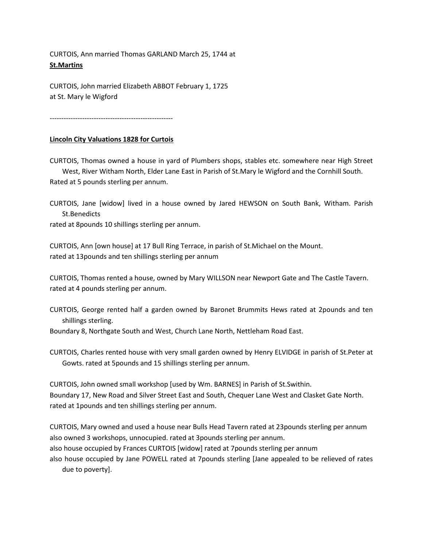CURTOIS, Ann married Thomas GARLAND March 25, 1744 at **St.Martins**

CURTOIS, John married Elizabeth ABBOT February 1, 1725 at St. Mary le Wigford

-----------------------------------------------------

## **Lincoln City Valuations 1828 for Curtois**

CURTOIS, Thomas owned a house in yard of Plumbers shops, stables etc. somewhere near High Street West, River Witham North, Elder Lane East in Parish of St.Mary le Wigford and the Cornhill South.

Rated at 5 pounds sterling per annum.

CURTOIS, Jane [widow] lived in a house owned by Jared HEWSON on South Bank, Witham. Parish St.Benedicts

rated at 8pounds 10 shillings sterling per annum.

CURTOIS, Ann [own house] at 17 Bull Ring Terrace, in parish of St.Michael on the Mount. rated at 13pounds and ten shillings sterling per annum

CURTOIS, Thomas rented a house, owned by Mary WILLSON near Newport Gate and The Castle Tavern. rated at 4 pounds sterling per annum.

CURTOIS, George rented half a garden owned by Baronet Brummits Hews rated at 2pounds and ten shillings sterling.

Boundary 8, Northgate South and West, Church Lane North, Nettleham Road East.

CURTOIS, Charles rented house with very small garden owned by Henry ELVIDGE in parish of St.Peter at Gowts. rated at 5pounds and 15 shillings sterling per annum.

CURTOIS, John owned small workshop [used by Wm. BARNES] in Parish of St.Swithin. Boundary 17, New Road and Silver Street East and South, Chequer Lane West and Clasket Gate North. rated at 1pounds and ten shillings sterling per annum.

CURTOIS, Mary owned and used a house near Bulls Head Tavern rated at 23pounds sterling per annum also owned 3 workshops, unnocupied. rated at 3pounds sterling per annum.

also house occupied by Frances CURTOIS [widow] rated at 7pounds sterling per annum

also house occupied by Jane POWELL rated at 7pounds sterling [Jane appealed to be relieved of rates due to poverty].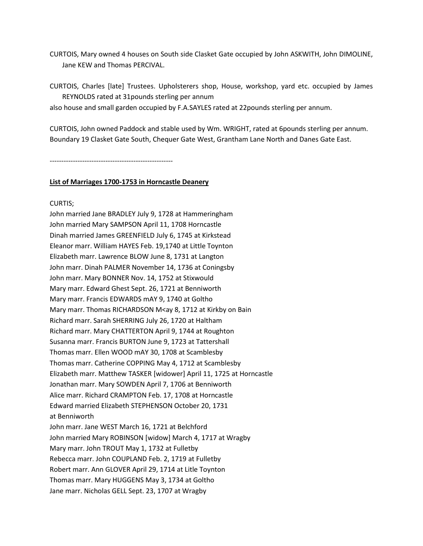CURTOIS, Mary owned 4 houses on South side Clasket Gate occupied by John ASKWITH, John DIMOLINE, Jane KEW and Thomas PERCIVAL.

CURTOIS, Charles [late] Trustees. Upholsterers shop, House, workshop, yard etc. occupied by James REYNOLDS rated at 31pounds sterling per annum

also house and small garden occupied by F.A.SAYLES rated at 22pounds sterling per annum.

CURTOIS, John owned Paddock and stable used by Wm. WRIGHT, rated at 6pounds sterling per annum. Boundary 19 Clasket Gate South, Chequer Gate West, Grantham Lane North and Danes Gate East.

-----------------------------------------------------

#### **List of Marriages 1700-1753 in Horncastle Deanery**

#### CURTIS;

John married Jane BRADLEY July 9, 1728 at Hammeringham John married Mary SAMPSON April 11, 1708 Horncastle Dinah married James GREENFIELD July 6, 1745 at Kirkstead Eleanor marr. William HAYES Feb. 19,1740 at Little Toynton Elizabeth marr. Lawrence BLOW June 8, 1731 at Langton John marr. Dinah PALMER November 14, 1736 at Coningsby John marr. Mary BONNER Nov. 14, 1752 at Stixwould Mary marr. Edward Ghest Sept. 26, 1721 at Benniworth Mary marr. Francis EDWARDS mAY 9, 1740 at Goltho Mary marr. Thomas RICHARDSON M<ay 8, 1712 at Kirkby on Bain Richard marr. Sarah SHERRING July 26, 1720 at Haltham Richard marr. Mary CHATTERTON April 9, 1744 at Roughton Susanna marr. Francis BURTON June 9, 1723 at Tattershall Thomas marr. Ellen WOOD mAY 30, 1708 at Scamblesby Thomas marr. Catherine COPPING May 4, 1712 at Scamblesby Elizabeth marr. Matthew TASKER [widower] April 11, 1725 at Horncastle Jonathan marr. Mary SOWDEN April 7, 1706 at Benniworth Alice marr. Richard CRAMPTON Feb. 17, 1708 at Horncastle Edward married Elizabeth STEPHENSON October 20, 1731 at Benniworth John marr. Jane WEST March 16, 1721 at Belchford John married Mary ROBINSON [widow] March 4, 1717 at Wragby Mary marr. John TROUT May 1, 1732 at Fulletby Rebecca marr. John COUPLAND Feb. 2, 1719 at Fulletby Robert marr. Ann GLOVER April 29, 1714 at Litle Toynton Thomas marr. Mary HUGGENS May 3, 1734 at Goltho Jane marr. Nicholas GELL Sept. 23, 1707 at Wragby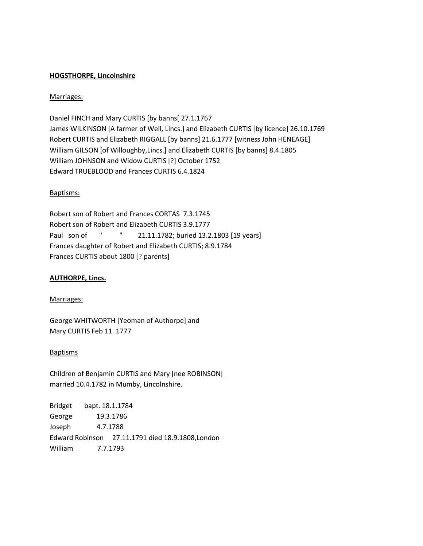## **HOGSTHORPE, Lincolnshire**

## Marriages:

Daniel FINCH and Mary CURTIS [by banns[ 27.1.1767 James WILKINSON [A farmer of Well, Lincs.] and Elizabeth CURTIS [by licence] 26.10.1769 Robert CURTIS and Elizabeth RIGGALL [by banns] 21.6.1777 [witness John HENEAGE] William GILSON [of Willoughby,Lincs.] and Elizabeth CURTIS [by banns] 8.4.1805 William JOHNSON and Widow CURTIS [?] October 1752 Edward TRUEBLOOD and Frances CURTIS 6.4.1824

#### Baptisms:

Robert son of Robert and Frances CORTAS 7.3.1745 Robert son of Robert and Elizabeth CURTIS 3.9.1777 Paul son of " " 21.11.1782; buried 13.2.1803 [19 years] Frances daughter of Robert and Elizabeth CURTIS; 8.9.1784 Frances CURTIS about 1800 [? parents]

## **AUTHORPE, Lincs.**

## Marriages:

George WHITWORTH [Yeoman of Authorpe] and Mary CURTIS Feb 11. 1777

#### Baptisms

Children of Benjamin CURTIS and Mary [nee ROBINSON] married 10.4.1782 in Mumby, Lincolnshire.

Bridget bapt. 18.1.1784 George 19.3.1786 Joseph 4.7.1788 Edward Robinson 27.11.1791 died 18.9.1808,London William 7.7.1793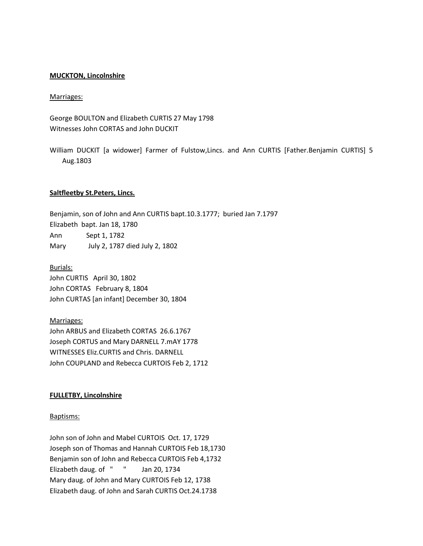#### **MUCKTON, Lincolnshire**

#### Marriages:

George BOULTON and Elizabeth CURTIS 27 May 1798 Witnesses John CORTAS and John DUCKIT

William DUCKIT [a widower] Farmer of Fulstow,Lincs. and Ann CURTIS [Father.Benjamin CURTIS] 5 Aug.1803

#### **Saltfleetby St.Peters, Lincs.**

Benjamin, son of John and Ann CURTIS bapt.10.3.1777; buried Jan 7.1797 Elizabeth bapt. Jan 18, 1780 Ann Sept 1, 1782 Mary July 2, 1787 died July 2, 1802

Burials: John CURTIS April 30, 1802 John CORTAS February 8, 1804 John CURTAS [an infant] December 30, 1804

Marriages: John ARBUS and Elizabeth CORTAS 26.6.1767 Joseph CORTUS and Mary DARNELL 7.mAY 1778 WITNESSES Eliz.CURTIS and Chris. DARNELL John COUPLAND and Rebecca CURTOIS Feb 2, 1712

#### **FULLETBY, Lincolnshire**

#### Baptisms:

John son of John and Mabel CURTOIS Oct. 17, 1729 Joseph son of Thomas and Hannah CURTOIS Feb 18,1730 Benjamin son of John and Rebecca CURTOIS Feb 4,1732 Elizabeth daug. of " " Jan 20, 1734 Mary daug. of John and Mary CURTOIS Feb 12, 1738 Elizabeth daug. of John and Sarah CURTIS Oct.24.1738